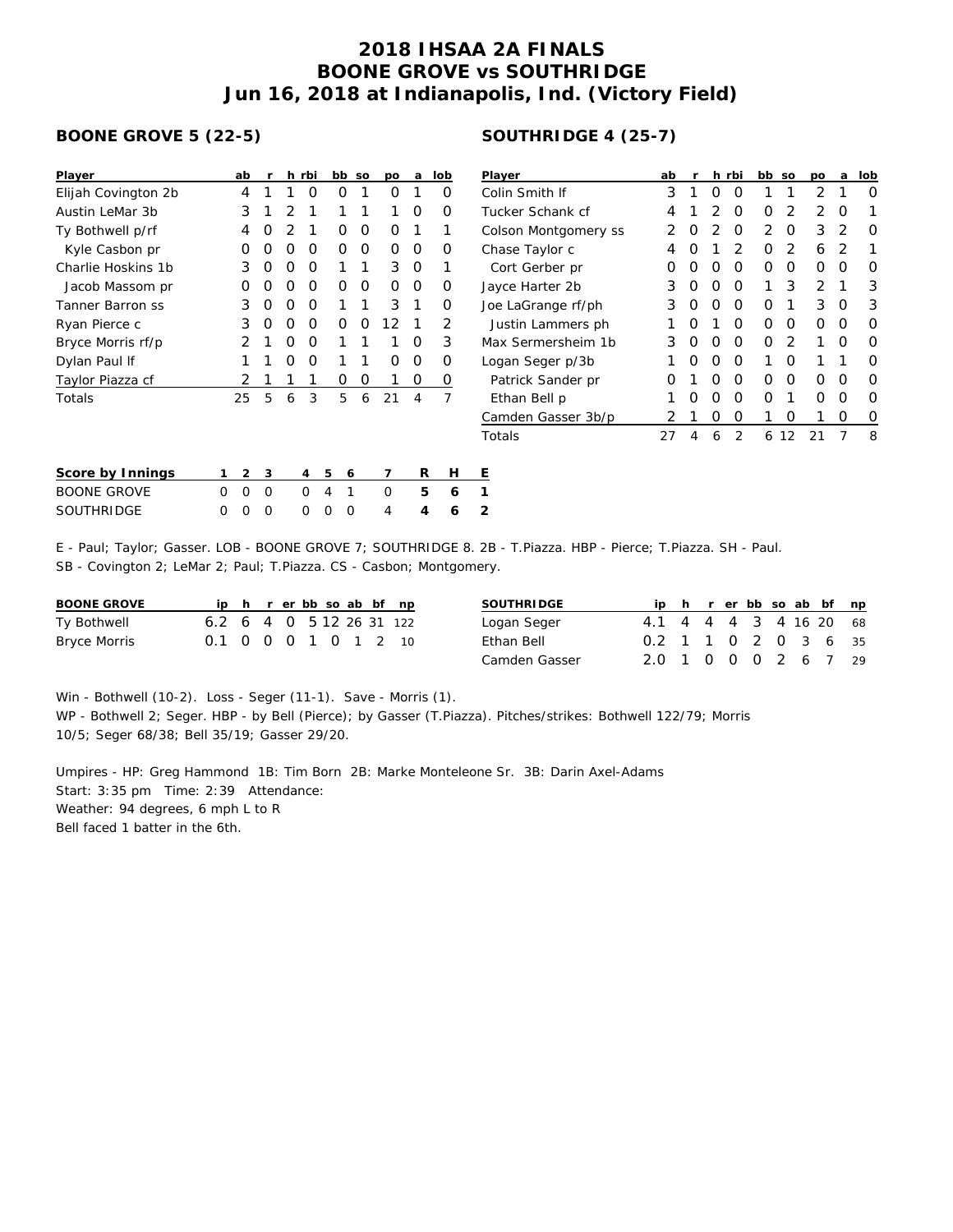## **2018 IHSAA 2A FINALS BOONE GROVE vs SOUTHRIDGE Jun 16, 2018 at Indianapolis, Ind. (Victory Field)**

## **BOONE GROVE 5 (22-5)**

| Player              | ab |   | r |                | h rbi | bb |   | SO | po | a | lob            | $\overline{P}$ |
|---------------------|----|---|---|----------------|-------|----|---|----|----|---|----------------|----------------|
| Elijah Covington 2b |    | 4 | 1 | 1              | Ο     |    | Ο | 1  | Ο  | 1 | Ο              | С              |
| Austin LeMar 3b     |    | 3 | 1 | 2              | 1     | 1  |   | 1  | 1  | Ο | Ω              | Τ              |
| Ty Bothwell p/rf    |    | 4 | Ο | $\overline{2}$ | 1     |    | Ο | Ο  | O  | 1 | 1              | С              |
| Kyle Casbon pr      |    | O | Ω | O              | O     |    | Ω | Ω  | Ω  | Ο | Ω              | С              |
| Charlie Hoskins 1b  |    | 3 | Ο | 0              | O     |    | 1 | 1  | 3  | Ο | 1              |                |
| Jacob Massom pr     |    | O | Ο | 0              | O     |    | Ο | Ο  | Ω  | Ο | 0              | نل             |
| Tanner Barron ss    |    | 3 | Ο | O              | O     |    | 1 | 1  | 3  | 1 | Ο              | J٥             |
| Ryan Pierce c       |    | 3 | Ο | O              | O     |    | Ω | Ο  | 12 | 1 | 2              |                |
| Bryce Morris rf/p   |    | 2 | 1 | 0              | O     | 1  |   | 1  | 1  | Ο | 3              | M              |
| Dylan Paul If       |    | 1 | 1 | O              | Ο     | 1  |   | 1  | Ο  | Ο | Ο              | Ŀ              |
| Taylor Piazza cf    |    | 2 | 1 | 1              | 1     |    | Ο | Ο  | 1  | 0 | O              |                |
| Totals              | 25 |   | 5 | 6              | 3     |    | 5 | 6  | 21 | 4 | $\overline{7}$ |                |
|                     |    |   |   |                |       |    |   |    |    |   |                |                |
|                     |    |   |   |                |       |    |   |    |    |   |                | T              |
| Score by Innings    | 1  | 2 | 3 |                | 4     | 5  | 6 |    | 7  | R | Н              | Ε              |
| <b>BOONE GROVE</b>  | Ω  | Ω | O |                | Ω     | 4  | 1 |    | Ω  | 5 | 6              | 1              |

SOUTHRIDGE 0 0 0 0 0 0 4 **4 6 2**

## **SOUTHRIDGE 4 (25-7)**

| Player               | ab | r |   | h rbi          | bb | SO             | po            | a | lob |
|----------------------|----|---|---|----------------|----|----------------|---------------|---|-----|
| Colin Smith If       | 3  | 1 | Ω | O              | 1  | 1              | 2             | 1 | Ω   |
| Tucker Schank cf     | 4  | 1 | 2 | O              | Ω  | 2              | 2             | O |     |
| Colson Montgomery ss | 2  | O | 2 | O              | 2  | O              | 3             | 2 | Ω   |
| Chase Taylor c       | 4  | O | 1 | $\mathcal{D}$  | Ω  | 2              | 6             | 2 | 1   |
| Cort Gerber pr       | Ω  | O | Ω | O              | Ω  | Ω              | Ω             | Ω | Ω   |
| Jayce Harter 2b      | 3  | O | O | O              | 1  | 3              | $\mathcal{P}$ | 1 | 3   |
| Joe LaGrange rf/ph   | 3  | O | Ω | O              | Ω  | 1              | 3             | O | 3   |
| Justin Lammers ph    | 1  | O | 1 | O              | Ω  | O              | Ω             | O | Ω   |
| Max Sermersheim 1b   | 3  | O | Ω | O              | Ω  | $\overline{2}$ | 1             | ∩ | Ω   |
| Logan Seger p/3b     | 1  | O | Ω | O              | 1  | Ω              | 1             | 1 | ∩   |
| Patrick Sander pr    | Ω  | 1 | Ω | O              | Ω  | Ω              | Ω             | Ω | Ω   |
| Ethan Bell p         | 1  | O | Ω | O              | Ω  | 1              | ი             | Ω | ∩   |
| Camden Gasser 3b/p   | 2  | 1 | O | Ο              | 1  | ∩              | 1             | 0 | O   |
| Totals               | 27 | 4 | 6 | $\mathfrak{D}$ | 6  | 12             | 21            | 7 | 8   |

E - Paul; Taylor; Gasser. LOB - BOONE GROVE 7; SOUTHRIDGE 8. 2B - T.Piazza. HBP - Pierce; T.Piazza. SH - Paul. SB - Covington 2; LeMar 2; Paul; T.Piazza. CS - Casbon; Montgomery.

| BOONE GROVE  |                          |  |  |  | ip h r er bb so ab bf np | SOUTHRIDGE  |
|--------------|--------------------------|--|--|--|--------------------------|-------------|
| Ty Bothwell  | 6.2 6 4 0 5 12 26 31 122 |  |  |  |                          | Logan Seger |
| Bryce Morris | 0.1 0 0 0 1 0 1 2 10     |  |  |  |                          | Ethan Bell  |

| SOUTHRI DGE   |                        |  |  |  | ip h r er bb so ab bf np |
|---------------|------------------------|--|--|--|--------------------------|
| Logan Seger   | 4.1 4 4 4 3 4 16 20 68 |  |  |  |                          |
| Ethan Bell    | 0.2 1 1 0 2 0 3 6 35   |  |  |  |                          |
| Camden Gasser | 2.0 1 0 0 0 2 6 7 29   |  |  |  |                          |

Win - Bothwell (10-2). Loss - Seger (11-1). Save - Morris (1). WP - Bothwell 2; Seger. HBP - by Bell (Pierce); by Gasser (T.Piazza). Pitches/strikes: Bothwell 122/79; Morris 10/5; Seger 68/38; Bell 35/19; Gasser 29/20.

Umpires - HP: Greg Hammond 1B: Tim Born 2B: Marke Monteleone Sr. 3B: Darin Axel-Adams Start: 3:35 pm Time: 2:39 Attendance: Weather: 94 degrees, 6 mph L to R Bell faced 1 batter in the 6th.